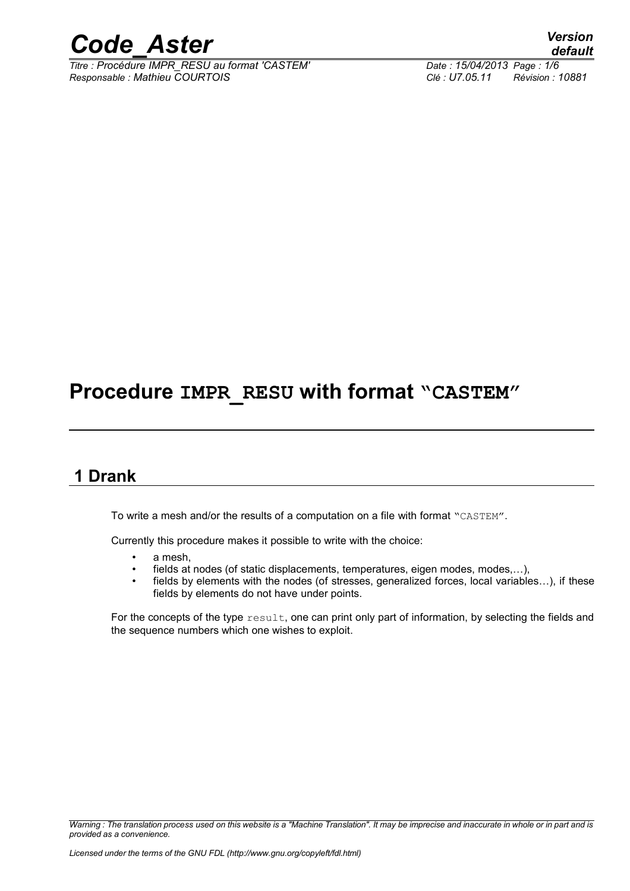

*Titre : Procédure IMPR\_RESU au format 'CASTEM' Date : 15/04/2013 Page : 1/6 Responsable : Mathieu COURTOIS Clé : U7.05.11 Révision : 10881*

*default*

## **Procedure IMPR\_RESU with format "CASTEM"**

## **1 Drank**

To write a mesh and/or the results of a computation on a file with format "CASTEM".

Currently this procedure makes it possible to write with the choice:

- a mesh,
- fields at nodes (of static displacements, temperatures, eigen modes, modes,...),
- fields by elements with the nodes (of stresses, generalized forces, local variables...), if these fields by elements do not have under points.

For the concepts of the type  $result$ , one can print only part of information, by selecting the fields and the sequence numbers which one wishes to exploit.

*Warning : The translation process used on this website is a "Machine Translation". It may be imprecise and inaccurate in whole or in part and is provided as a convenience.*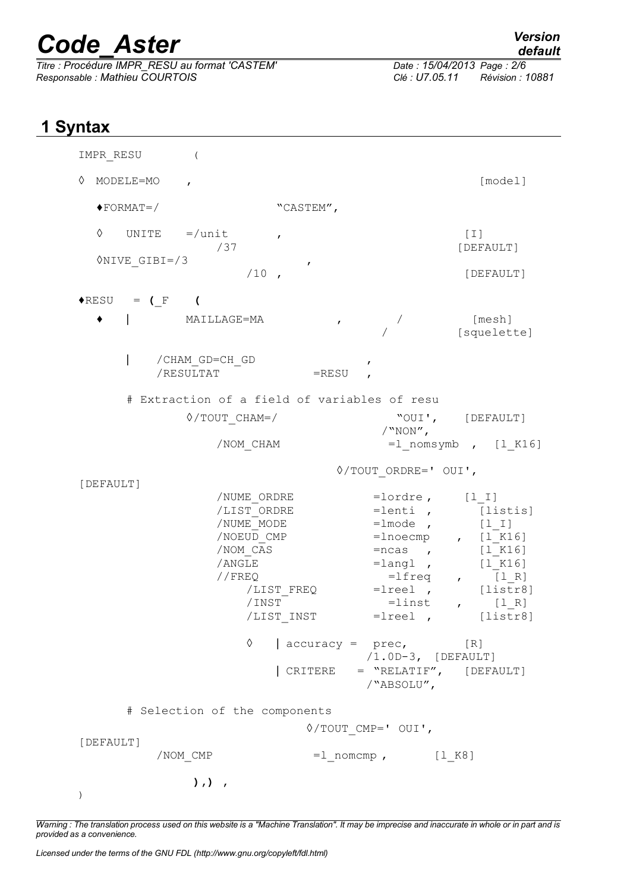# *Code\_Aster Version*

*Titre : Procédure IMPR\_RESU au format 'CASTEM' Date : 15/04/2014 Date : 15/04/2013 Page : 15/04/2013 Page : 15/04/2013 Date : 15/05.11 Responsable : Mathieu COURTOIS Clé : U7.05.11 Révision : 10881*

## **1 Syntax**

| IMPR RESU<br>$\left($                                                                                             |                                                                                                                                                                                                                                                      |                                                                                                                                                           |
|-------------------------------------------------------------------------------------------------------------------|------------------------------------------------------------------------------------------------------------------------------------------------------------------------------------------------------------------------------------------------------|-----------------------------------------------------------------------------------------------------------------------------------------------------------|
| ♦<br>MODELE=MO<br>$\mathbf{r}$                                                                                    |                                                                                                                                                                                                                                                      | [model]                                                                                                                                                   |
| $\blacklozenge$ FORMAT=/                                                                                          | "CASTEM",                                                                                                                                                                                                                                            |                                                                                                                                                           |
| ♦<br>UNITE $=$ /unit<br>/37                                                                                       | $\boldsymbol{r}$                                                                                                                                                                                                                                     | $\begin{bmatrix} 1 \end{bmatrix}$<br>[DEFAULT]                                                                                                            |
| $\lozenge$ NIVE GIBI=/3<br>$/10$ ,                                                                                | ,                                                                                                                                                                                                                                                    | [DEFAULT]                                                                                                                                                 |
| $\triangle$ RESU = (F)                                                                                            |                                                                                                                                                                                                                                                      |                                                                                                                                                           |
| ٠<br>MAILLAGE=MA                                                                                                  | $\mathbf{r}$                                                                                                                                                                                                                                         | [mesh]<br>[squelette]                                                                                                                                     |
| /CHAM GD=CH GD<br>/RESULTAT                                                                                       | $=$ RESU                                                                                                                                                                                                                                             |                                                                                                                                                           |
|                                                                                                                   | # Extraction of a field of variables of resu                                                                                                                                                                                                         |                                                                                                                                                           |
| $\Diamond$ /TOUT CHAM=/<br>/NOM CHAM                                                                              | $/$ "NON",                                                                                                                                                                                                                                           | "OUI', [DEFAULT]<br>$=1$ nomsymb, $[1 K16]$                                                                                                               |
| $\Diamond$ /TOUT ORDRE=' OUI',                                                                                    |                                                                                                                                                                                                                                                      |                                                                                                                                                           |
| [DEFAULT]<br>/NUME ORDRE<br>/LIST ORDRE<br>/NUME MODE<br>/NOEUD CMP<br>/NOM CAS<br>/ANGLE<br>//FREQ<br>/INST<br>♦ | $=$ lordre, $[1 I]$<br>$=$ lenti,<br>$=$ lmode,<br>$= ncas$ , $[1_K16]$<br>/LIST FREQ = lreel , [listr8]<br>$=$ linst , $[1 R]$<br>/LIST INST<br>$\vert$ accuracy = prec,<br>$/1.0D-3$ , [DEFAULT]<br>  CRITERE = "RELATIF", [DEFAULT]<br>/"ABSOLU", | [listis]<br>$[1\_1]$<br>$=$ lnoecmp, $[1_K16]$<br>$=$ langl, $[1 K16]$<br>$=$ $lfreq$ , $[1 R]$<br>$=$ $\lceil \cdot \rceil$ $\lceil \cdot \rceil$<br>[R] |
| # Selection of the components<br>[DEFAULT]                                                                        | $\Diamond$ /TOUT CMP=' OUI',                                                                                                                                                                                                                         |                                                                                                                                                           |
| /NOM CMP                                                                                                          | $=1$ nomcmp, $[1 K8]$                                                                                                                                                                                                                                |                                                                                                                                                           |
| $), )$ ,                                                                                                          |                                                                                                                                                                                                                                                      |                                                                                                                                                           |

*Warning : The translation process used on this website is a "Machine Translation". It may be imprecise and inaccurate in whole or in part and is provided as a convenience.*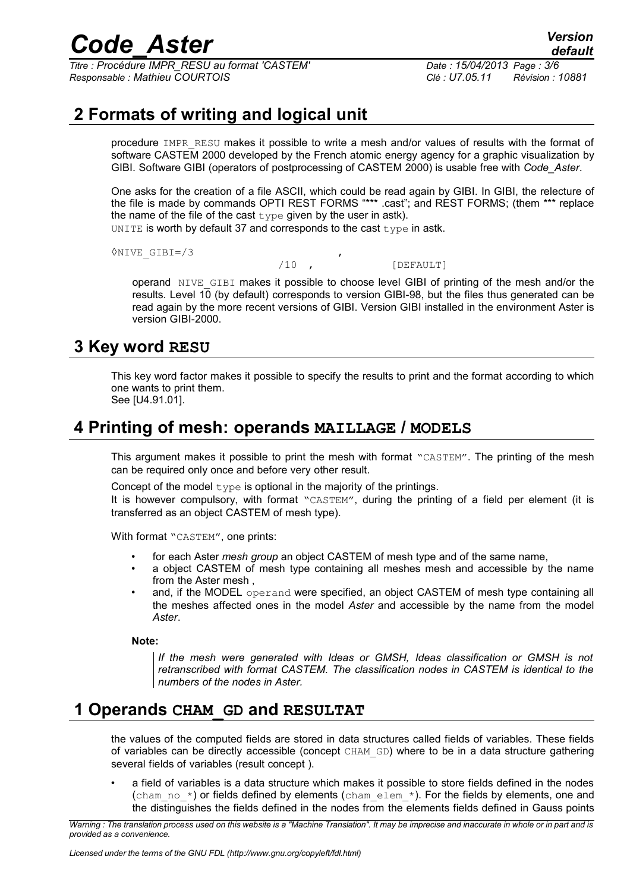## *Code\_Aster Version*

*Titre : Procédure IMPR\_RESU au format 'CASTEM' Date : 15/04/2013 Page : 3/6 Responsable : Mathieu COURTOIS Clé : U7.05.11 Révision : 10881*

## **2 Formats of writing and logical unit**

procedure IMPR\_RESU makes it possible to write a mesh and/or values of results with the format of software CASTEM 2000 developed by the French atomic energy agency for a graphic visualization by GIBI. Software GIBI (operators of postprocessing of CASTEM 2000) is usable free with *Code\_Aster*.

One asks for the creation of a file ASCII, which could be read again by GIBI. In GIBI, the relecture of the file is made by commands OPTI REST FORMS "\*\*\* .cast"; and REST FORMS; (them \*\*\* replace the name of the file of the cast  $type$  given by the user in astk).

UNITE is worth by default 37 and corresponds to the cast type in astk.

◊NIVE\_GIBI=/3 ,

/10 , [DEFAULT]

operand NIVE\_GIBI makes it possible to choose level GIBI of printing of the mesh and/or the results. Level 10 (by default) corresponds to version GIBI-98, but the files thus generated can be read again by the more recent versions of GIBI. Version GIBI installed in the environment Aster is version GIBI-2000.

## **3 Key word RESU**

This key word factor makes it possible to specify the results to print and the format according to which one wants to print them.

See [U4.91.01].

## **4 Printing of mesh: operands MAILLAGE / MODELS**

This argument makes it possible to print the mesh with format "CASTEM". The printing of the mesh can be required only once and before very other result.

Concept of the model  $type$  is optional in the majority of the printings.

It is however compulsory, with format "CASTEM", during the printing of a field per element (it is transferred as an object CASTEM of mesh type).

With format "CASTEM", one prints:

- for each Aster *mesh group* an object CASTEM of mesh type and of the same name,
- a object CASTEM of mesh type containing all meshes mesh and accessible by the name from the Aster mesh ,
- and, if the MODEL operand were specified, an object CASTEM of mesh type containing all the meshes affected ones in the model *Aster* and accessible by the name from the model *Aster*.

**Note:**

*If the mesh were generated with Ideas or GMSH, Ideas classification or GMSH is not retranscribed with format CASTEM. The classification nodes in CASTEM is identical to the numbers of the nodes in Aster.*

### **1 Operands CHAM\_GD and RESULTAT**

the values of the computed fields are stored in data structures called fields of variables. These fields of variables can be directly accessible (concept CHAM\_GD) where to be in a data structure gathering several fields of variables (result concept ).

• a field of variables is a data structure which makes it possible to store fields defined in the nodes (cham no  $*$ ) or fields defined by elements (cham elem  $*$ ). For the fields by elements, one and the distinguishes the fields defined in the nodes from the elements fields defined in Gauss points

*Warning : The translation process used on this website is a "Machine Translation". It may be imprecise and inaccurate in whole or in part and is provided as a convenience.*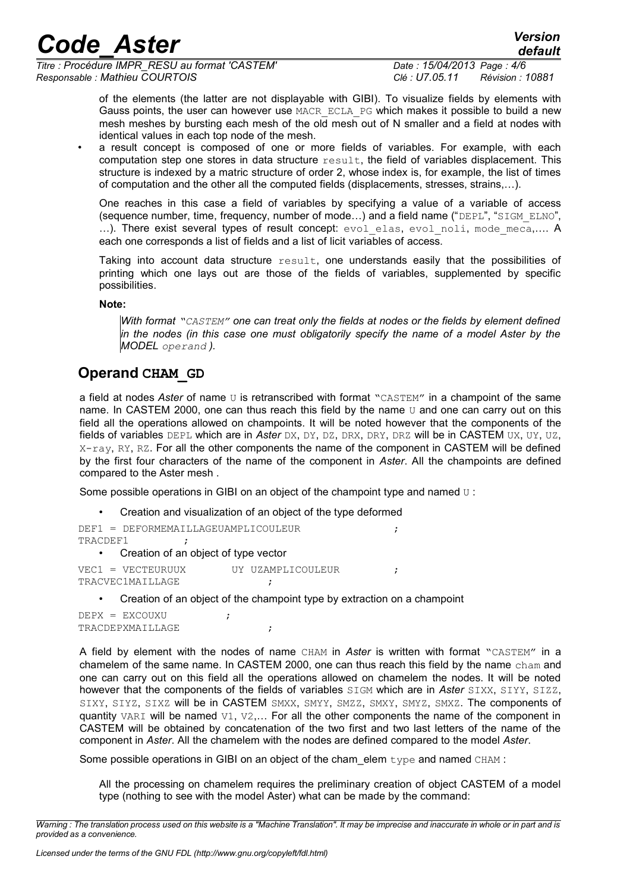*Titre : Procédure IMPR\_RESU au format 'CASTEM' Date : 15/04/2013 Page : 4/6 Responsable : Mathieu COURTOIS Clé : U7.05.11 Révision : 10881*

*default*

of the elements (the latter are not displayable with GIBI). To visualize fields by elements with Gauss points, the user can however use MACR ECLA PG which makes it possible to build a new mesh meshes by bursting each mesh of the old mesh out of N smaller and a field at nodes with identical values in each top node of the mesh.

• a result concept is composed of one or more fields of variables. For example, with each computation step one stores in data structure result, the field of variables displacement. This structure is indexed by a matric structure of order 2, whose index is, for example, the list of times of computation and the other all the computed fields (displacements, stresses, strains,…).

One reaches in this case a field of variables by specifying a value of a variable of access (sequence number, time, frequency, number of mode…) and a field name ("DEPL", "SIGM\_ELNO", ...). There exist several types of result concept: evol elas, evol noli, mode meca,.... A each one corresponds a list of fields and a list of licit variables of access.

Taking into account data structure result, one understands easily that the possibilities of printing which one lays out are those of the fields of variables, supplemented by specific possibilities.

**Note:**

*With format "CASTEM" one can treat only the fields at nodes or the fields by element defined in the nodes (in this case one must obligatorily specify the name of a model Aster by the MODEL operand ).*

### **Operand CHAM\_GD**

a field at nodes Aster of name U is retranscribed with format "CASTEM" in a champoint of the same name. In CASTEM 2000, one can thus reach this field by the name  $U$  and one can carry out on this field all the operations allowed on champoints. It will be noted however that the components of the fields of variables DEPL which are in *Aster* DX, DY, DZ, DRX, DRY, DRZ will be in CASTEM UX, UY, UZ, X-ray, RY, RZ. For all the other components the name of the component in CASTEM will be defined by the first four characters of the name of the component in *Aster*. All the champoints are defined compared to the Aster mesh .

Some possible operations in GIBI on an object of the champoint type and named  $U$  :

• Creation and visualization of an object of the type deformed

```
DEF1 = DEFORMEMAILLAGEUAMPLICOULEUR ;
TRACDEF1 ;
  • Creation of an object of type vector
```

```
VEC1 = VECTEURUUX UY UZAMPLICOULEUR ;
TRACVEC1MAILLAGE ;
```
• Creation of an object of the champoint type by extraction on a champoint

```
DEPX = EXCOUXU ;
TRACDEPXMAILLAGE ;
```
A field by element with the nodes of name CHAM in *Aster* is written with format "CASTEM" in a chamelem of the same name. In CASTEM 2000, one can thus reach this field by the name  $\text{cham}$  and one can carry out on this field all the operations allowed on chamelem the nodes. It will be noted however that the components of the fields of variables SIGM which are in *Aster* SIXX, SIYY, SIZZ, SIXY, SIYZ, SIXZ will be in CASTEM SMXX, SMYY, SMZZ, SMXY, SMYZ, SMXZ, The components of quantity VARI will be named V1, V2,... For all the other components the name of the component in CASTEM will be obtained by concatenation of the two first and two last letters of the name of the component in *Aster*. All the chamelem with the nodes are defined compared to the model *Aster*.

Some possible operations in GIBI on an object of the cham elem  $type$  and named  $CHAM$ :

All the processing on chamelem requires the preliminary creation of object CASTEM of a model type (nothing to see with the model Aster) what can be made by the command:

*Warning : The translation process used on this website is a "Machine Translation". It may be imprecise and inaccurate in whole or in part and is provided as a convenience.*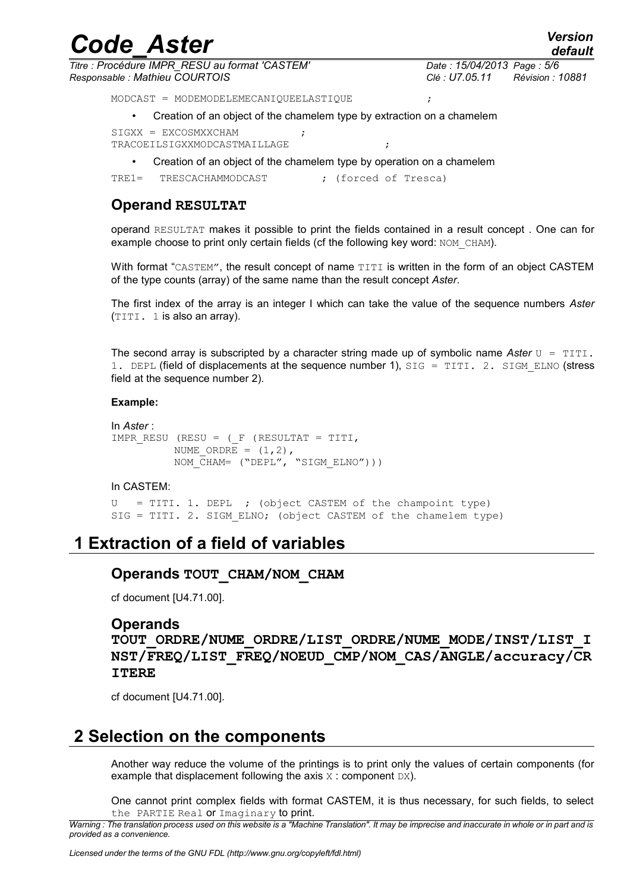| <b>Code Aster</b>                                                                   | <b>Version</b><br>default                                     |
|-------------------------------------------------------------------------------------|---------------------------------------------------------------|
| Titre : Procédure IMPR RESU au format 'CASTEM'<br>Responsable: Mathieu COURTOIS     | Date: 15/04/2013 Page: 5/6<br>Clé : U7.05.11 Révision : 10881 |
| MODCAST = MODEMODELEMECANIOUEELASTIOUE                                              |                                                               |
| Creation of an object of the chamelem type by extraction on a chamelem<br>$\bullet$ |                                                               |
| $SIGXX = EXCOSMXXCHAM$<br>TRACOEILSIGXXMODCASTMAILLAGE                              |                                                               |
| Creation of an object of the chamelem type by operation on a chamelem<br>$\bullet$  |                                                               |

TRE1= TRESCACHAMMODCAST ; (forced of Tresca)

#### **Operand RESULTAT**

operand RESULTAT makes it possible to print the fields contained in a result concept . One can for example choose to print only certain fields (cf the following key word: NOM\_CHAM).

With format "CASTEM", the result concept of name TITI is written in the form of an object CASTEM of the type counts (array) of the same name than the result concept *Aster*.

The first index of the array is an integer I which can take the value of the sequence numbers *Aster* (TITI. 1 is also an array).

The second array is subscripted by a character string made up of symbolic name Aster  $U = TITI$ . 1. DEPL (field of displacements at the sequence number 1), SIG = TITI, 2, SIGM\_ELNO (stress field at the sequence number 2).

#### **Example:**

```
In Aster :
IMPR_RESU (RESU = ( F (RESULTAT = TITI,
          NUME ORDRE = (1,2),
          NOM CHAM= ("DEPL", "SIGM ELNO")))
```
#### In CASTEM:

 $U = TITI. 1. DEPL$  ; (object CASTEM of the champoint type) SIG = TITI. 2. SIGM ELNO; (object CASTEM of the chamelem type)

## **1 Extraction of a field of variables**

#### **Operands TOUT\_CHAM/NOM\_CHAM**

cf document [U4.71.00].

#### **Operands**

**TOUT\_ORDRE/NUME\_ORDRE/LIST\_ORDRE/NUME\_MODE/INST/LIST\_I NST/FREQ/LIST\_FREQ/NOEUD\_CMP/NOM\_CAS/ANGLE/accuracy/CR ITERE**

cf document [U4.71.00].

## **2 Selection on the components**

Another way reduce the volume of the printings is to print only the values of certain components (for example that displacement following the axis  $\overline{x}$  : component  $DX$ ).

One cannot print complex fields with format CASTEM, it is thus necessary, for such fields, to select the PARTIE Real or Imaginary to print.

*Warning : The translation process used on this website is a "Machine Translation". It may be imprecise and inaccurate in whole or in part and is provided as a convenience.*